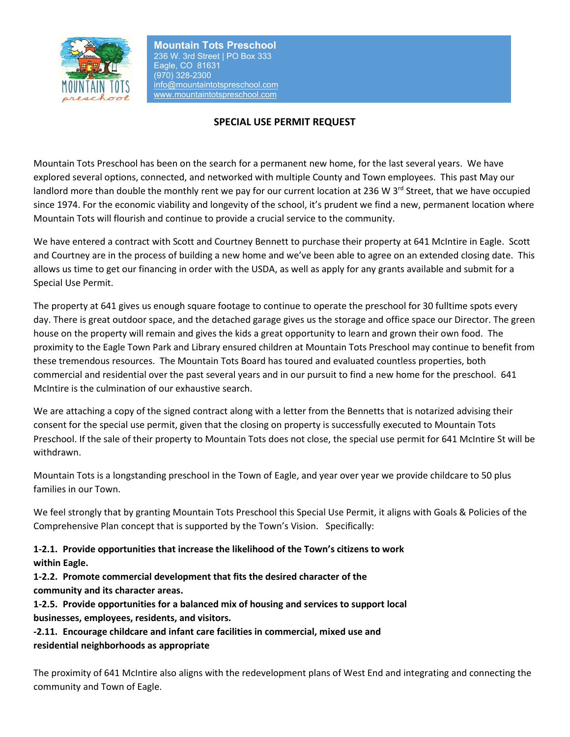

**Mountain Tots Preschool** 236 W. 3rd Street | PO Box 333 Eagle, CO 81631 (970) 328-2300 info@mountaintotspreschool.com www.mountaintotspreschool.com

## **SPECIAL USE PERMIT REQUEST**

Mountain Tots Preschool has been on the search for a permanent new home, for the last several years. We have explored several options, connected, and networked with multiple County and Town employees. This past May our landlord more than double the monthly rent we pay for our current location at 236 W 3<sup>rd</sup> Street, that we have occupied since 1974. For the economic viability and longevity of the school, it's prudent we find a new, permanent location where Mountain Tots will flourish and continue to provide a crucial service to the community.

We have entered a contract with Scott and Courtney Bennett to purchase their property at 641 McIntire in Eagle. Scott and Courtney are in the process of building a new home and we've been able to agree on an extended closing date. This allows us time to get our financing in order with the USDA, as well as apply for any grants available and submit for a Special Use Permit.

The property at 641 gives us enough square footage to continue to operate the preschool for 30 fulltime spots every day. There is great outdoor space, and the detached garage gives us the storage and office space our Director. The green house on the property will remain and gives the kids a great opportunity to learn and grown their own food. The proximity to the Eagle Town Park and Library ensured children at Mountain Tots Preschool may continue to benefit from these tremendous resources. The Mountain Tots Board has toured and evaluated countless properties, both commercial and residential over the past several years and in our pursuit to find a new home for the preschool. 641 McIntire is the culmination of our exhaustive search.

We are attaching a copy of the signed contract along with a letter from the Bennetts that is notarized advising their consent for the special use permit, given that the closing on property is successfully executed to Mountain Tots Preschool. If the sale of their property to Mountain Tots does not close, the special use permit for 641 McIntire St will be withdrawn.

Mountain Tots is a longstanding preschool in the Town of Eagle, and year over year we provide childcare to 50 plus families in our Town.

We feel strongly that by granting Mountain Tots Preschool this Special Use Permit, it aligns with Goals & Policies of the Comprehensive Plan concept that is supported by the Town's Vision. Specifically:

**1-2.1. Provide opportunities that increase the likelihood of the Town's citizens to work within Eagle.**

**1-2.2. Promote commercial development that fits the desired character of the community and its character areas.**

**1-2.5. Provide opportunities for a balanced mix of housing and services to support local businesses, employees, residents, and visitors.**

**-2.11. Encourage childcare and infant care facilities in commercial, mixed use and residential neighborhoods as appropriate**

The proximity of 641 McIntire also aligns with the redevelopment plans of West End and integrating and connecting the community and Town of Eagle.